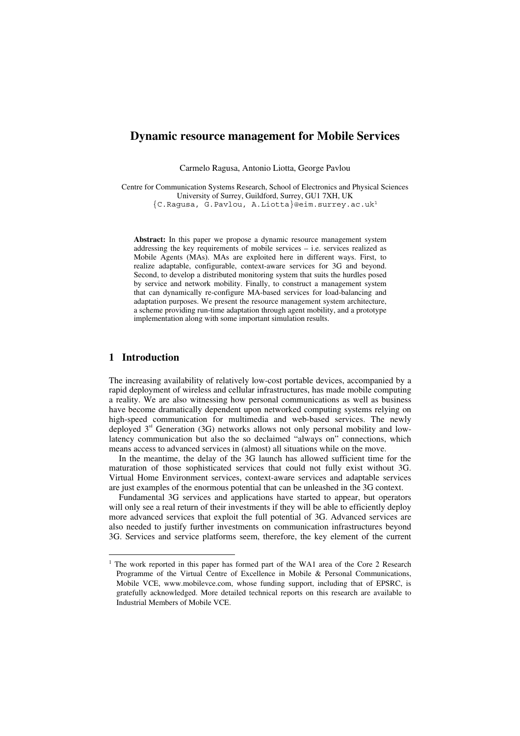# **Dynamic resource management for Mobile Services**

Carmelo Ragusa, Antonio Liotta, George Pavlou

Centre for Communication Systems Research, School of Electronics and Physical Sciences University of Surrey, Guildford, Surrey, GU1 7XH, UK {C.Ragusa, G.Pavlou, A.Liotta}@eim.surrey.ac.uk1

**Abstract:** In this paper we propose a dynamic resource management system addressing the key requirements of mobile services – i.e. services realized as Mobile Agents (MAs). MAs are exploited here in different ways. First, to realize adaptable, configurable, context-aware services for 3G and beyond. Second, to develop a distributed monitoring system that suits the hurdles posed by service and network mobility. Finally, to construct a management system that can dynamically re-configure MA-based services for load-balancing and adaptation purposes. We present the resource management system architecture, a scheme providing run-time adaptation through agent mobility, and a prototype implementation along with some important simulation results.

# **1 Introduction**

-

The increasing availability of relatively low-cost portable devices, accompanied by a rapid deployment of wireless and cellular infrastructures, has made mobile computing a reality. We are also witnessing how personal communications as well as business have become dramatically dependent upon networked computing systems relying on high-speed communication for multimedia and web-based services. The newly deployed  $3<sup>rd</sup>$  Generation (3G) networks allows not only personal mobility and lowlatency communication but also the so declaimed "always on" connections, which means access to advanced services in (almost) all situations while on the move.

In the meantime, the delay of the 3G launch has allowed sufficient time for the maturation of those sophisticated services that could not fully exist without 3G. Virtual Home Environment services, context-aware services and adaptable services are just examples of the enormous potential that can be unleashed in the 3G context.

Fundamental 3G services and applications have started to appear, but operators will only see a real return of their investments if they will be able to efficiently deploy more advanced services that exploit the full potential of 3G. Advanced services are also needed to justify further investments on communication infrastructures beyond 3G. Services and service platforms seem, therefore, the key element of the current

<sup>&</sup>lt;sup>1</sup> The work reported in this paper has formed part of the WA1 area of the Core 2 Research Programme of the Virtual Centre of Excellence in Mobile & Personal Communications, Mobile VCE, www.mobilevce.com, whose funding support, including that of EPSRC, is gratefully acknowledged. More detailed technical reports on this research are available to Industrial Members of Mobile VCE.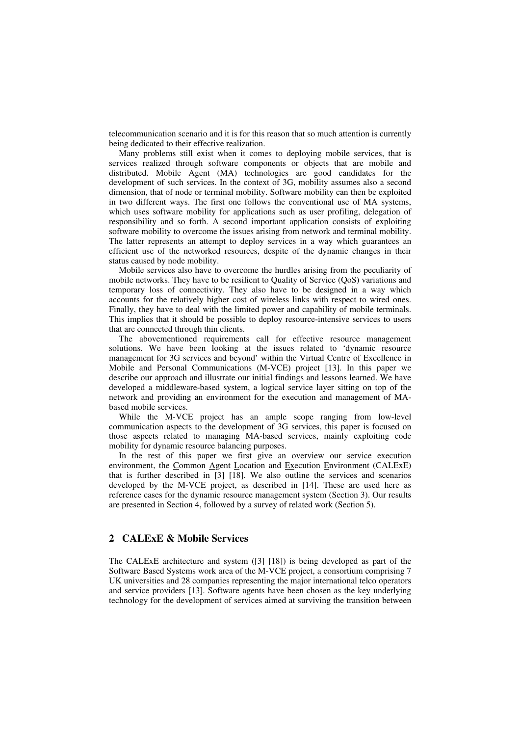telecommunication scenario and it is for this reason that so much attention is currently being dedicated to their effective realization.

Many problems still exist when it comes to deploying mobile services, that is services realized through software components or objects that are mobile and distributed. Mobile Agent (MA) technologies are good candidates for the development of such services. In the context of 3G, mobility assumes also a second dimension, that of node or terminal mobility. Software mobility can then be exploited in two different ways. The first one follows the conventional use of MA systems, which uses software mobility for applications such as user profiling, delegation of responsibility and so forth. A second important application consists of exploiting software mobility to overcome the issues arising from network and terminal mobility. The latter represents an attempt to deploy services in a way which guarantees an efficient use of the networked resources, despite of the dynamic changes in their status caused by node mobility.

Mobile services also have to overcome the hurdles arising from the peculiarity of mobile networks. They have to be resilient to Quality of Service (QoS) variations and temporary loss of connectivity. They also have to be designed in a way which accounts for the relatively higher cost of wireless links with respect to wired ones. Finally, they have to deal with the limited power and capability of mobile terminals. This implies that it should be possible to deploy resource-intensive services to users that are connected through thin clients.

The abovementioned requirements call for effective resource management solutions. We have been looking at the issues related to 'dynamic resource management for 3G services and beyond' within the Virtual Centre of Excellence in Mobile and Personal Communications (M-VCE) project [13]. In this paper we describe our approach and illustrate our initial findings and lessons learned. We have developed a middleware-based system, a logical service layer sitting on top of the network and providing an environment for the execution and management of MAbased mobile services.

While the M-VCE project has an ample scope ranging from low-level communication aspects to the development of 3G services, this paper is focused on those aspects related to managing MA-based services, mainly exploiting code mobility for dynamic resource balancing purposes.

In the rest of this paper we first give an overview our service execution environment, the Common Agent Location and Execution Environment (CALExE) that is further described in [3] [18]. We also outline the services and scenarios developed by the M-VCE project, as described in [14]. These are used here as reference cases for the dynamic resource management system (Section 3). Our results are presented in Section 4, followed by a survey of related work (Section 5).

## **2 CALExE & Mobile Services**

The CALExE architecture and system ([3] [18]) is being developed as part of the Software Based Systems work area of the M-VCE project, a consortium comprising 7 UK universities and 28 companies representing the major international telco operators and service providers [13]. Software agents have been chosen as the key underlying technology for the development of services aimed at surviving the transition between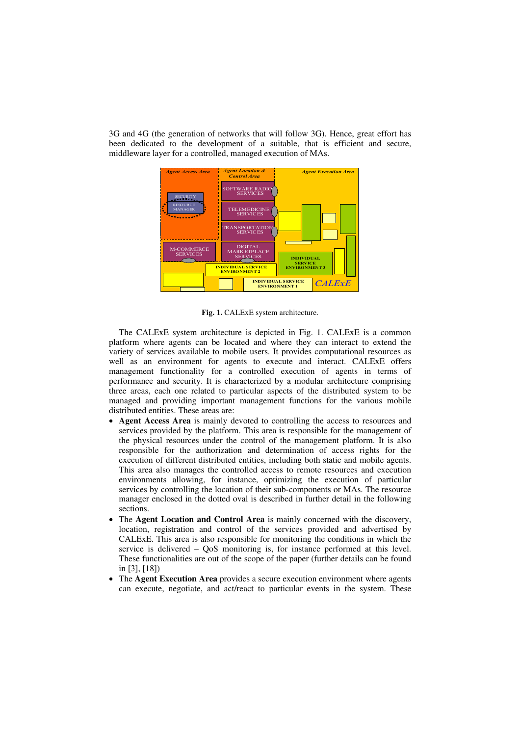3G and 4G (the generation of networks that will follow 3G). Hence, great effort has been dedicated to the development of a suitable, that is efficient and secure, middleware layer for a controlled, managed execution of MAs.



**Fig. 1.** CALExE system architecture.

The CALExE system architecture is depicted in Fig. 1. CALExE is a common platform where agents can be located and where they can interact to extend the variety of services available to mobile users. It provides computational resources as well as an environment for agents to execute and interact. CALExE offers management functionality for a controlled execution of agents in terms of performance and security. It is characterized by a modular architecture comprising three areas, each one related to particular aspects of the distributed system to be managed and providing important management functions for the various mobile distributed entities. These areas are:

- **Agent Access Area** is mainly devoted to controlling the access to resources and services provided by the platform. This area is responsible for the management of the physical resources under the control of the management platform. It is also responsible for the authorization and determination of access rights for the execution of different distributed entities, including both static and mobile agents. This area also manages the controlled access to remote resources and execution environments allowing, for instance, optimizing the execution of particular services by controlling the location of their sub-components or MAs. The resource manager enclosed in the dotted oval is described in further detail in the following sections.
- The **Agent Location and Control Area** is mainly concerned with the discovery, location, registration and control of the services provided and advertised by CALExE. This area is also responsible for monitoring the conditions in which the service is delivered – QoS monitoring is, for instance performed at this level. These functionalities are out of the scope of the paper (further details can be found in [3], [18])
- The **Agent Execution Area** provides a secure execution environment where agents can execute, negotiate, and act/react to particular events in the system. These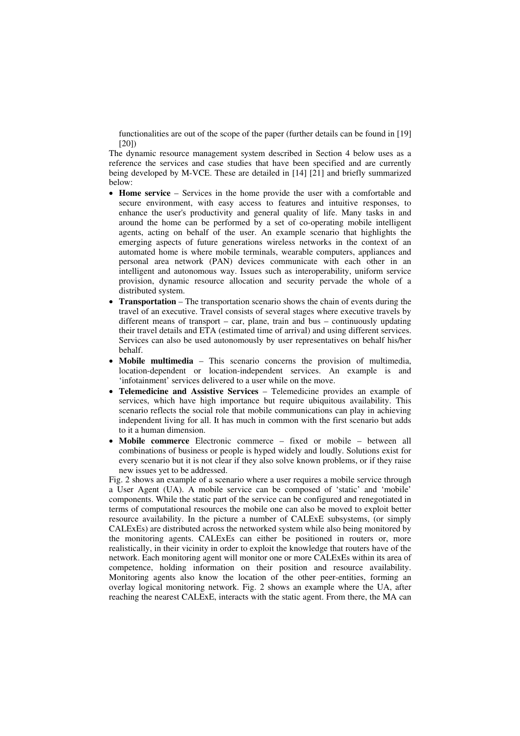functionalities are out of the scope of the paper (further details can be found in [19] [20])

The dynamic resource management system described in Section 4 below uses as a reference the services and case studies that have been specified and are currently being developed by M-VCE. These are detailed in [14] [21] and briefly summarized below:

- **Home service**  Services in the home provide the user with a comfortable and secure environment, with easy access to features and intuitive responses, to enhance the user's productivity and general quality of life. Many tasks in and around the home can be performed by a set of co-operating mobile intelligent agents, acting on behalf of the user. An example scenario that highlights the emerging aspects of future generations wireless networks in the context of an automated home is where mobile terminals, wearable computers, appliances and personal area network (PAN) devices communicate with each other in an intelligent and autonomous way. Issues such as interoperability, uniform service provision, dynamic resource allocation and security pervade the whole of a distributed system.
- **Transportation** The transportation scenario shows the chain of events during the travel of an executive. Travel consists of several stages where executive travels by different means of transport – car, plane, train and bus – continuously updating their travel details and ETA (estimated time of arrival) and using different services. Services can also be used autonomously by user representatives on behalf his/her behalf.
- **Mobile multimedia**  This scenario concerns the provision of multimedia, location-dependent or location-independent services. An example is and 'infotainment' services delivered to a user while on the move.
- **Telemedicine and Assistive Services**  Telemedicine provides an example of services, which have high importance but require ubiquitous availability. This scenario reflects the social role that mobile communications can play in achieving independent living for all. It has much in common with the first scenario but adds to it a human dimension.
- **Mobile commerce** Electronic commerce fixed or mobile between all combinations of business or people is hyped widely and loudly. Solutions exist for every scenario but it is not clear if they also solve known problems, or if they raise new issues yet to be addressed.

Fig. 2 shows an example of a scenario where a user requires a mobile service through a User Agent (UA). A mobile service can be composed of 'static' and 'mobile' components. While the static part of the service can be configured and renegotiated in terms of computational resources the mobile one can also be moved to exploit better resource availability. In the picture a number of CALExE subsystems, (or simply CALExEs) are distributed across the networked system while also being monitored by the monitoring agents. CALExEs can either be positioned in routers or, more realistically, in their vicinity in order to exploit the knowledge that routers have of the network. Each monitoring agent will monitor one or more CALExEs within its area of competence, holding information on their position and resource availability. Monitoring agents also know the location of the other peer-entities, forming an overlay logical monitoring network. Fig. 2 shows an example where the UA, after reaching the nearest CALExE, interacts with the static agent. From there, the MA can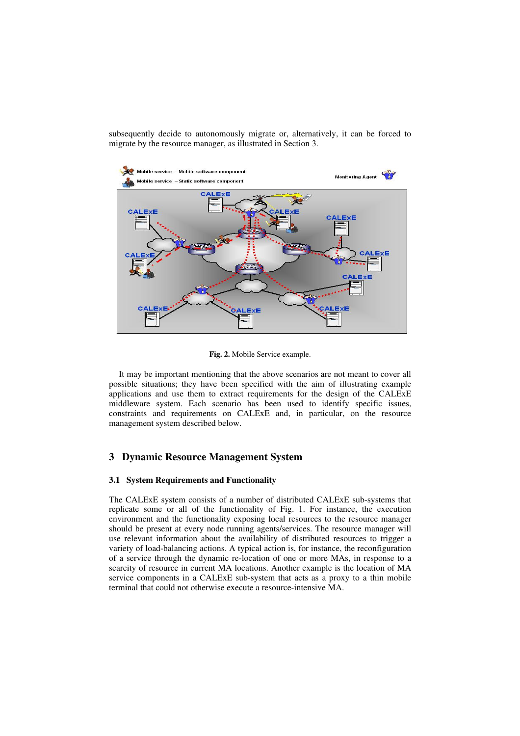subsequently decide to autonomously migrate or, alternatively, it can be forced to migrate by the resource manager, as illustrated in Section 3.



**Fig. 2.** Mobile Service example.

It may be important mentioning that the above scenarios are not meant to cover all possible situations; they have been specified with the aim of illustrating example applications and use them to extract requirements for the design of the CALExE middleware system. Each scenario has been used to identify specific issues, constraints and requirements on CALExE and, in particular, on the resource management system described below.

# **3 Dynamic Resource Management System**

#### **3.1 System Requirements and Functionality**

The CALExE system consists of a number of distributed CALExE sub-systems that replicate some or all of the functionality of Fig. 1. For instance, the execution environment and the functionality exposing local resources to the resource manager should be present at every node running agents/services. The resource manager will use relevant information about the availability of distributed resources to trigger a variety of load-balancing actions. A typical action is, for instance, the reconfiguration of a service through the dynamic re-location of one or more MAs, in response to a scarcity of resource in current MA locations. Another example is the location of MA service components in a CALExE sub-system that acts as a proxy to a thin mobile terminal that could not otherwise execute a resource-intensive MA.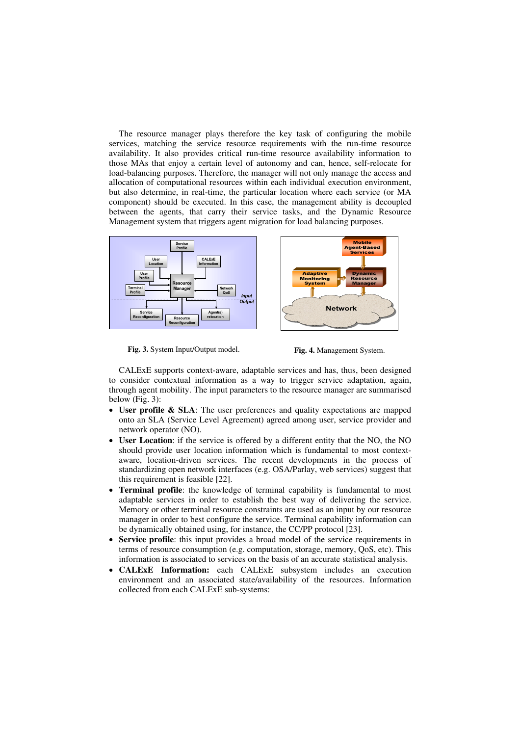The resource manager plays therefore the key task of configuring the mobile services, matching the service resource requirements with the run-time resource availability. It also provides critical run-time resource availability information to those MAs that enjoy a certain level of autonomy and can, hence, self-relocate for load-balancing purposes. Therefore, the manager will not only manage the access and allocation of computational resources within each individual execution environment, but also determine, in real-time, the particular location where each service (or MA component) should be executed. In this case, the management ability is decoupled between the agents, that carry their service tasks, and the Dynamic Resource Management system that triggers agent migration for load balancing purposes.



**Fig. 3.** System Input/Output model.

**Fig. 4.** Management System.

CALExE supports context-aware, adaptable services and has, thus, been designed to consider contextual information as a way to trigger service adaptation, again, through agent mobility. The input parameters to the resource manager are summarised below (Fig. 3):

- **User profile & SLA**: The user preferences and quality expectations are mapped onto an SLA (Service Level Agreement) agreed among user, service provider and network operator (NO).
- User Location: if the service is offered by a different entity that the NO, the NO should provide user location information which is fundamental to most contextaware, location-driven services. The recent developments in the process of standardizing open network interfaces (e.g. OSA/Parlay, web services) suggest that this requirement is feasible [22].
- **Terminal profile**: the knowledge of terminal capability is fundamental to most adaptable services in order to establish the best way of delivering the service. Memory or other terminal resource constraints are used as an input by our resource manager in order to best configure the service. Terminal capability information can be dynamically obtained using, for instance, the CC/PP protocol [23].
- **Service profile**: this input provides a broad model of the service requirements in terms of resource consumption (e.g. computation, storage, memory, QoS, etc). This information is associated to services on the basis of an accurate statistical analysis.
- **CALExE Information:** each CALExE subsystem includes an execution environment and an associated state/availability of the resources. Information collected from each CALExE sub-systems: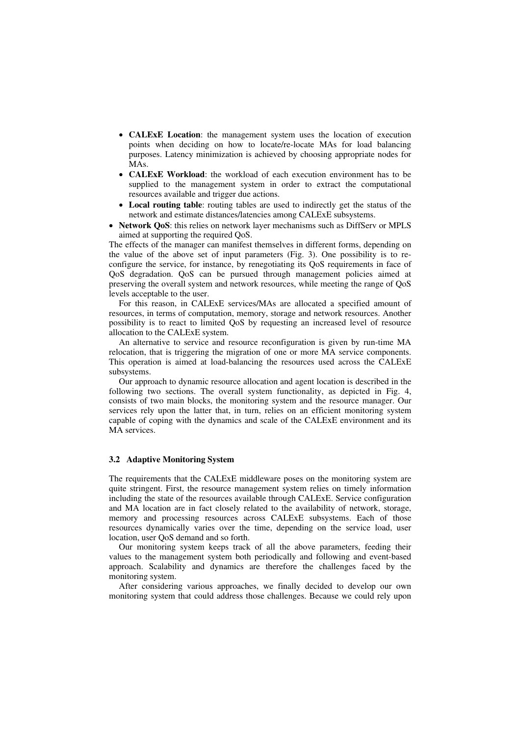- **CALExE Location**: the management system uses the location of execution points when deciding on how to locate/re-locate MAs for load balancing purposes. Latency minimization is achieved by choosing appropriate nodes for MAs.
- **CALExE Workload**: the workload of each execution environment has to be supplied to the management system in order to extract the computational resources available and trigger due actions.
- **Local routing table**: routing tables are used to indirectly get the status of the network and estimate distances/latencies among CALExE subsystems.
- **Network QoS**: this relies on network layer mechanisms such as DiffServ or MPLS aimed at supporting the required QoS.

The effects of the manager can manifest themselves in different forms, depending on the value of the above set of input parameters (Fig. 3). One possibility is to reconfigure the service, for instance, by renegotiating its QoS requirements in face of QoS degradation. QoS can be pursued through management policies aimed at preserving the overall system and network resources, while meeting the range of QoS levels acceptable to the user.

For this reason, in CALExE services/MAs are allocated a specified amount of resources, in terms of computation, memory, storage and network resources. Another possibility is to react to limited QoS by requesting an increased level of resource allocation to the CALExE system.

An alternative to service and resource reconfiguration is given by run-time MA relocation, that is triggering the migration of one or more MA service components. This operation is aimed at load-balancing the resources used across the CALExE subsystems.

Our approach to dynamic resource allocation and agent location is described in the following two sections. The overall system functionality, as depicted in Fig. 4, consists of two main blocks, the monitoring system and the resource manager. Our services rely upon the latter that, in turn, relies on an efficient monitoring system capable of coping with the dynamics and scale of the CALExE environment and its MA services.

### **3.2 Adaptive Monitoring System**

The requirements that the CALExE middleware poses on the monitoring system are quite stringent. First, the resource management system relies on timely information including the state of the resources available through CALExE. Service configuration and MA location are in fact closely related to the availability of network, storage, memory and processing resources across CALExE subsystems. Each of those resources dynamically varies over the time, depending on the service load, user location, user QoS demand and so forth.

Our monitoring system keeps track of all the above parameters, feeding their values to the management system both periodically and following and event-based approach. Scalability and dynamics are therefore the challenges faced by the monitoring system.

After considering various approaches, we finally decided to develop our own monitoring system that could address those challenges. Because we could rely upon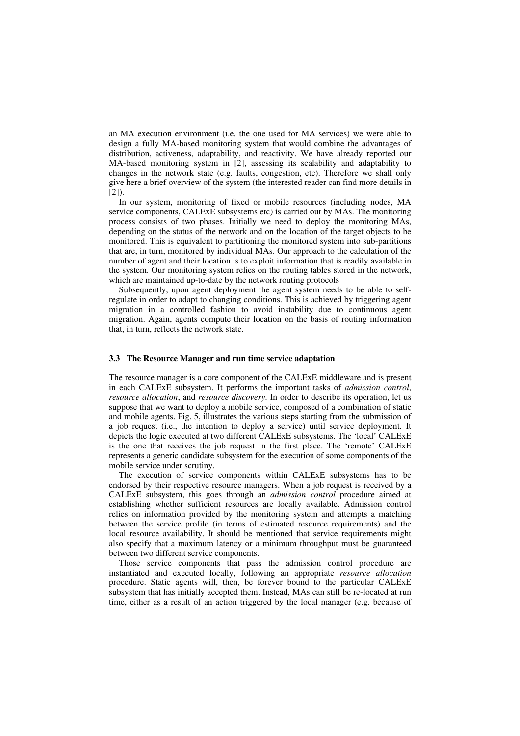an MA execution environment (i.e. the one used for MA services) we were able to design a fully MA-based monitoring system that would combine the advantages of distribution, activeness, adaptability, and reactivity. We have already reported our MA-based monitoring system in [2], assessing its scalability and adaptability to changes in the network state (e.g. faults, congestion, etc). Therefore we shall only give here a brief overview of the system (the interested reader can find more details in [2]).

In our system, monitoring of fixed or mobile resources (including nodes, MA service components, CALExE subsystems etc) is carried out by MAs. The monitoring process consists of two phases. Initially we need to deploy the monitoring MAs, depending on the status of the network and on the location of the target objects to be monitored. This is equivalent to partitioning the monitored system into sub-partitions that are, in turn, monitored by individual MAs. Our approach to the calculation of the number of agent and their location is to exploit information that is readily available in the system. Our monitoring system relies on the routing tables stored in the network, which are maintained up-to-date by the network routing protocols

Subsequently, upon agent deployment the agent system needs to be able to selfregulate in order to adapt to changing conditions. This is achieved by triggering agent migration in a controlled fashion to avoid instability due to continuous agent migration. Again, agents compute their location on the basis of routing information that, in turn, reflects the network state.

### **3.3 The Resource Manager and run time service adaptation**

The resource manager is a core component of the CALExE middleware and is present in each CALExE subsystem. It performs the important tasks of *admission control*, *resource allocation*, and *resource discovery*. In order to describe its operation, let us suppose that we want to deploy a mobile service, composed of a combination of static and mobile agents. Fig. 5, illustrates the various steps starting from the submission of a job request (i.e., the intention to deploy a service) until service deployment. It depicts the logic executed at two different CALExE subsystems. The 'local' CALExE is the one that receives the job request in the first place. The 'remote' CALExE represents a generic candidate subsystem for the execution of some components of the mobile service under scrutiny.

The execution of service components within CALExE subsystems has to be endorsed by their respective resource managers. When a job request is received by a CALExE subsystem, this goes through an *admission control* procedure aimed at establishing whether sufficient resources are locally available. Admission control relies on information provided by the monitoring system and attempts a matching between the service profile (in terms of estimated resource requirements) and the local resource availability. It should be mentioned that service requirements might also specify that a maximum latency or a minimum throughput must be guaranteed between two different service components.

Those service components that pass the admission control procedure are instantiated and executed locally, following an appropriate *resource allocation*  procedure. Static agents will, then, be forever bound to the particular CALExE subsystem that has initially accepted them. Instead, MAs can still be re-located at run time, either as a result of an action triggered by the local manager (e.g. because of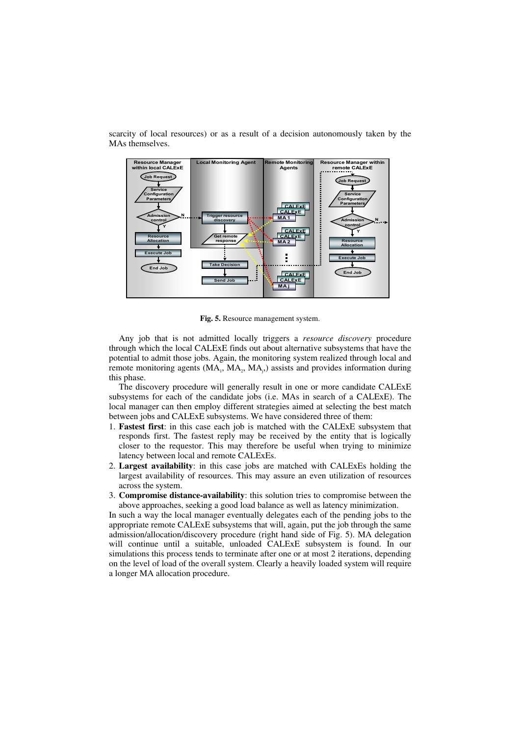

scarcity of local resources) or as a result of a decision autonomously taken by the MAs themselves.

**Fig. 5.** Resource management system.

Any job that is not admitted locally triggers a *resource discovery* procedure through which the local CALExE finds out about alternative subsystems that have the potential to admit those jobs. Again, the monitoring system realized through local and remote monitoring agents  $(MA_1, MA_2, MA_j)$  assists and provides information during this phase.

The discovery procedure will generally result in one or more candidate CALExE subsystems for each of the candidate jobs (i.e. MAs in search of a CALExE). The local manager can then employ different strategies aimed at selecting the best match between jobs and CALExE subsystems. We have considered three of them:

- 1. **Fastest first**: in this case each job is matched with the CALExE subsystem that responds first. The fastest reply may be received by the entity that is logically closer to the requestor. This may therefore be useful when trying to minimize latency between local and remote CALExEs.
- 2. **Largest availability**: in this case jobs are matched with CALExEs holding the largest availability of resources. This may assure an even utilization of resources across the system.
- 3. **Compromise distance-availability**: this solution tries to compromise between the above approaches, seeking a good load balance as well as latency minimization.

In such a way the local manager eventually delegates each of the pending jobs to the appropriate remote CALExE subsystems that will, again, put the job through the same admission/allocation/discovery procedure (right hand side of Fig. 5). MA delegation will continue until a suitable, unloaded CALExE subsystem is found. In our simulations this process tends to terminate after one or at most 2 iterations, depending on the level of load of the overall system. Clearly a heavily loaded system will require a longer MA allocation procedure.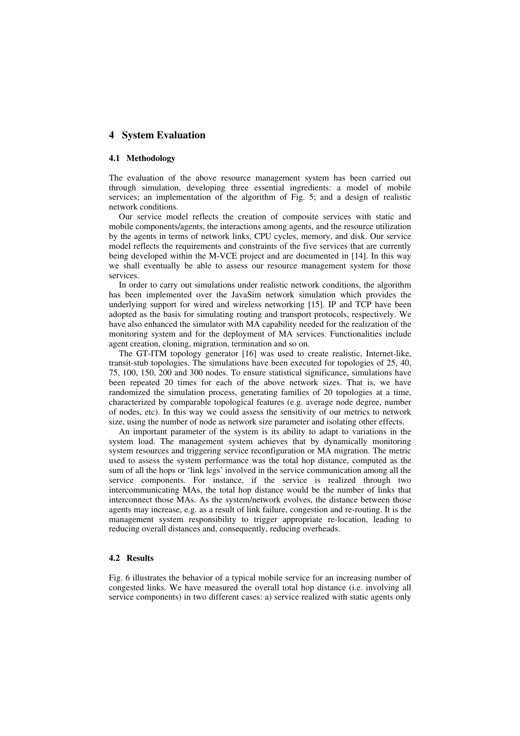## **4 System Evaluation**

#### **4.1 Methodology**

The evaluation of the above resource management system has been carried out through simulation, developing three essential ingredients: a model of mobile services; an implementation of the algorithm of Fig. 5; and a design of realistic network conditions.

Our service model reflects the creation of composite services with static and mobile components/agents, the interactions among agents, and the resource utilization by the agents in terms of network links, CPU cycles, memory, and disk. Our service model reflects the requirements and constraints of the five services that are currently being developed within the M-VCE project and are documented in [14]. In this way we shall eventually be able to assess our resource management system for those services.

In order to carry out simulations under realistic network conditions, the algorithm has been implemented over the JavaSim network simulation which provides the underlying support for wired and wireless networking [15]. IP and TCP have been adopted as the basis for simulating routing and transport protocols, respectively. We have also enhanced the simulator with MA capability needed for the realization of the monitoring system and for the deployment of MA services. Functionalities include agent creation, cloning, migration, termination and so on.

The GT-ITM topology generator [16] was used to create realistic, Internet-like, transit-stub topologies. The simulations have been executed for topologies of 25, 40, 75, 100, 150, 200 and 300 nodes. To ensure statistical significance, simulations have been repeated 20 times for each of the above network sizes. That is, we have randomized the simulation process, generating families of 20 topologies at a time, characterized by comparable topological features (e.g. average node degree, number of nodes, etc). In this way we could assess the sensitivity of our metrics to network size, using the number of node as network size parameter and isolating other effects.

An important parameter of the system is its ability to adapt to variations in the system load. The management system achieves that by dynamically monitoring system resources and triggering service reconfiguration or MA migration. The metric used to assess the system performance was the total hop distance, computed as the sum of all the hops or 'link legs' involved in the service communication among all the service components. For instance, if the service is realized through two intercommunicating MAs, the total hop distance would be the number of links that interconnect those MAs. As the system/network evolves, the distance between those agents may increase, e.g. as a result of link failure, congestion and re-routing. It is the management system responsibility to trigger appropriate re-location, leading to reducing overall distances and, consequently, reducing overheads.

#### **4.2 Results**

Fig. 6 illustrates the behavior of a typical mobile service for an increasing number of congested links. We have measured the overall total hop distance (i.e. involving all service components) in two different cases: a) service realized with static agents only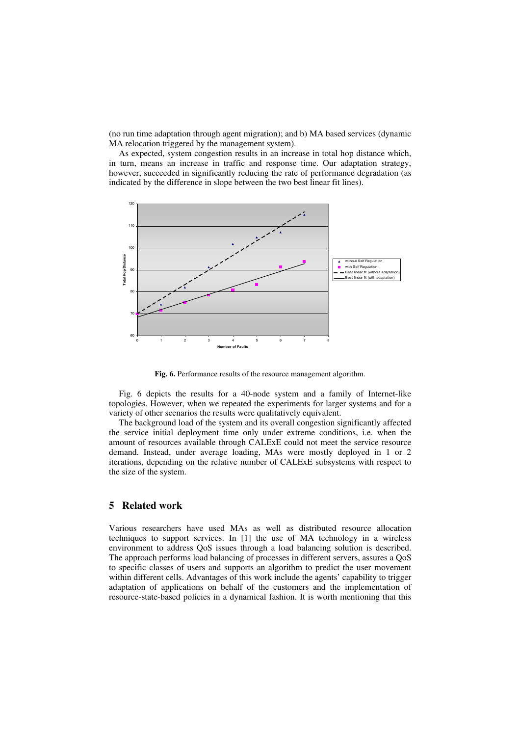(no run time adaptation through agent migration); and b) MA based services (dynamic MA relocation triggered by the management system).

As expected, system congestion results in an increase in total hop distance which, in turn, means an increase in traffic and response time. Our adaptation strategy, however, succeeded in significantly reducing the rate of performance degradation (as indicated by the difference in slope between the two best linear fit lines).



**Fig. 6.** Performance results of the resource management algorithm.

Fig. 6 depicts the results for a 40-node system and a family of Internet-like topologies. However, when we repeated the experiments for larger systems and for a variety of other scenarios the results were qualitatively equivalent.

The background load of the system and its overall congestion significantly affected the service initial deployment time only under extreme conditions, i.e. when the amount of resources available through CALExE could not meet the service resource demand. Instead, under average loading, MAs were mostly deployed in 1 or 2 iterations, depending on the relative number of CALExE subsystems with respect to the size of the system.

# **5 Related work**

Various researchers have used MAs as well as distributed resource allocation techniques to support services. In [1] the use of MA technology in a wireless environment to address QoS issues through a load balancing solution is described. The approach performs load balancing of processes in different servers, assures a QoS to specific classes of users and supports an algorithm to predict the user movement within different cells. Advantages of this work include the agents' capability to trigger adaptation of applications on behalf of the customers and the implementation of resource-state-based policies in a dynamical fashion. It is worth mentioning that this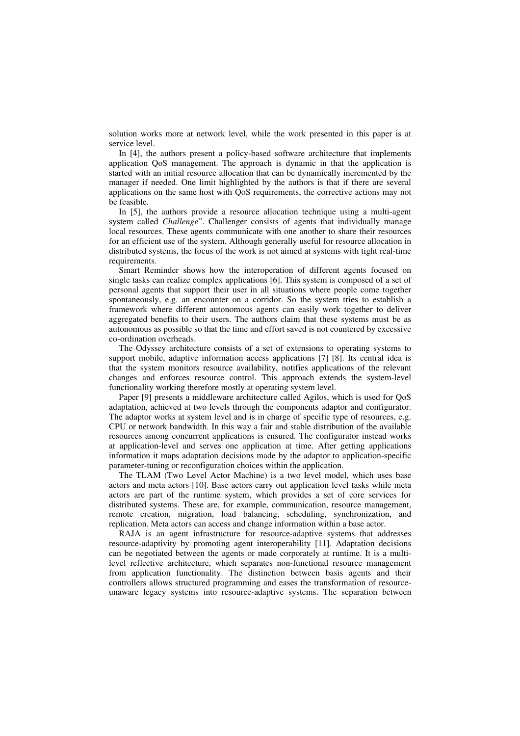solution works more at network level, while the work presented in this paper is at service level.

In [4], the authors present a policy-based software architecture that implements application QoS management. The approach is dynamic in that the application is started with an initial resource allocation that can be dynamically incremented by the manager if needed. One limit highlighted by the authors is that if there are several applications on the same host with QoS requirements, the corrective actions may not be feasible.

In [5], the authors provide a resource allocation technique using a multi-agent system called *Challenge*". Challenger consists of agents that individually manage local resources. These agents communicate with one another to share their resources for an efficient use of the system. Although generally useful for resource allocation in distributed systems, the focus of the work is not aimed at systems with tight real-time requirements.

Smart Reminder shows how the interoperation of different agents focused on single tasks can realize complex applications [6]. This system is composed of a set of personal agents that support their user in all situations where people come together spontaneously, e.g. an encounter on a corridor. So the system tries to establish a framework where different autonomous agents can easily work together to deliver aggregated benefits to their users. The authors claim that these systems must be as autonomous as possible so that the time and effort saved is not countered by excessive co-ordination overheads.

The Odyssey architecture consists of a set of extensions to operating systems to support mobile, adaptive information access applications [7] [8]. Its central idea is that the system monitors resource availability, notifies applications of the relevant changes and enforces resource control. This approach extends the system-level functionality working therefore mostly at operating system level.

Paper [9] presents a middleware architecture called Agilos, which is used for QoS adaptation, achieved at two levels through the components adaptor and configurator. The adaptor works at system level and is in charge of specific type of resources, e.g. CPU or network bandwidth. In this way a fair and stable distribution of the available resources among concurrent applications is ensured. The configurator instead works at application-level and serves one application at time. After getting applications information it maps adaptation decisions made by the adaptor to application-specific parameter-tuning or reconfiguration choices within the application.

The TLAM (Two Level Actor Machine) is a two level model, which uses base actors and meta actors [10]. Base actors carry out application level tasks while meta actors are part of the runtime system, which provides a set of core services for distributed systems. These are, for example, communication, resource management, remote creation, migration, load balancing, scheduling, synchronization, and replication. Meta actors can access and change information within a base actor.

RAJA is an agent infrastructure for resource-adaptive systems that addresses resource-adaptivity by promoting agent interoperability [11]. Adaptation decisions can be negotiated between the agents or made corporately at runtime. It is a multilevel reflective architecture, which separates non-functional resource management from application functionality. The distinction between basis agents and their controllers allows structured programming and eases the transformation of resourceunaware legacy systems into resource-adaptive systems. The separation between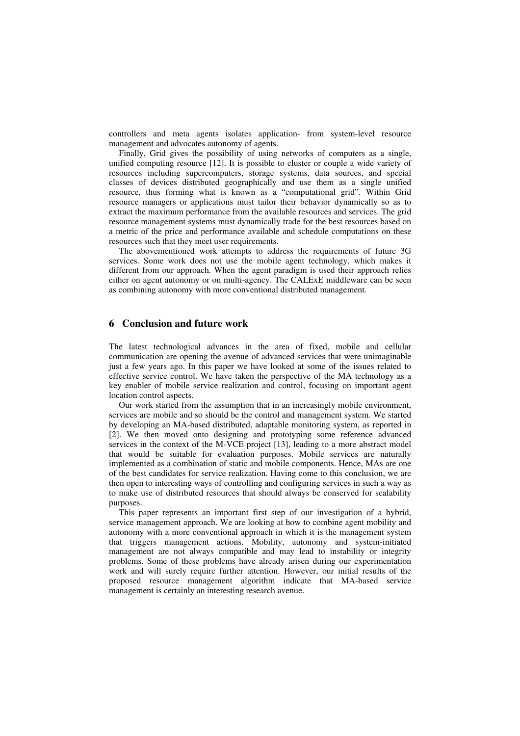controllers and meta agents isolates application- from system-level resource management and advocates autonomy of agents.

Finally, Grid gives the possibility of using networks of computers as a single, unified computing resource [12]. It is possible to cluster or couple a wide variety of resources including supercomputers, storage systems, data sources, and special classes of devices distributed geographically and use them as a single unified resource, thus forming what is known as a "computational grid". Within Grid resource managers or applications must tailor their behavior dynamically so as to extract the maximum performance from the available resources and services. The grid resource management systems must dynamically trade for the best resources based on a metric of the price and performance available and schedule computations on these resources such that they meet user requirements.

The abovementioned work attempts to address the requirements of future 3G services. Some work does not use the mobile agent technology, which makes it different from our approach. When the agent paradigm is used their approach relies either on agent autonomy or on multi-agency. The CALExE middleware can be seen as combining autonomy with more conventional distributed management.

### **6 Conclusion and future work**

The latest technological advances in the area of fixed, mobile and cellular communication are opening the avenue of advanced services that were unimaginable just a few years ago. In this paper we have looked at some of the issues related to effective service control. We have taken the perspective of the MA technology as a key enabler of mobile service realization and control, focusing on important agent location control aspects.

Our work started from the assumption that in an increasingly mobile environment, services are mobile and so should be the control and management system. We started by developing an MA-based distributed, adaptable monitoring system, as reported in [2]. We then moved onto designing and prototyping some reference advanced services in the context of the M-VCE project [13], leading to a more abstract model that would be suitable for evaluation purposes. Mobile services are naturally implemented as a combination of static and mobile components. Hence, MAs are one of the best candidates for service realization. Having come to this conclusion, we are then open to interesting ways of controlling and configuring services in such a way as to make use of distributed resources that should always be conserved for scalability purposes.

This paper represents an important first step of our investigation of a hybrid, service management approach. We are looking at how to combine agent mobility and autonomy with a more conventional approach in which it is the management system that triggers management actions. Mobility, autonomy and system-initiated management are not always compatible and may lead to instability or integrity problems. Some of these problems have already arisen during our experimentation work and will surely require further attention. However, our initial results of the proposed resource management algorithm indicate that MA-based service management is certainly an interesting research avenue.